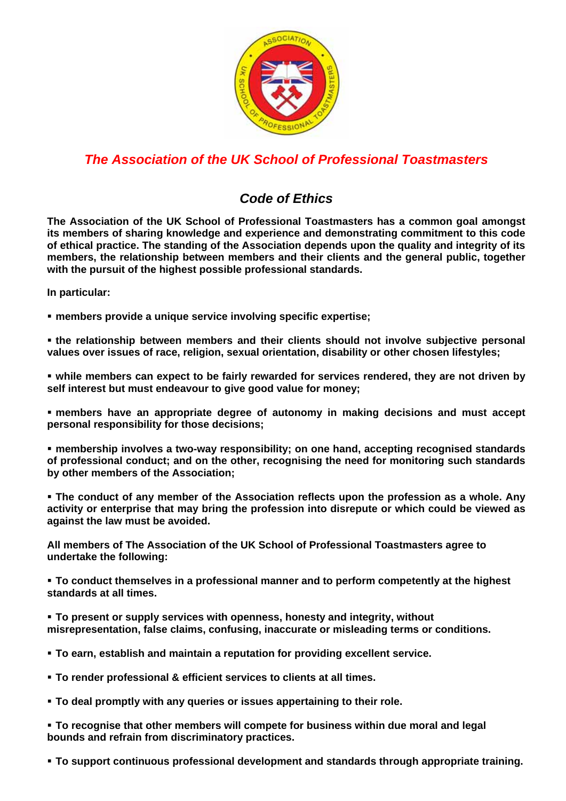

## *The Association of the UK School of Professional Toastmasters*

## *Code of Ethics*

**The Association of the UK School of Professional Toastmasters has a common goal amongst its members of sharing knowledge and experience and demonstrating commitment to this code of ethical practice. The standing of the Association depends upon the quality and integrity of its members, the relationship between members and their clients and the general public, together with the pursuit of the highest possible professional standards.** 

**In particular:** 

**members provide a unique service involving specific expertise;** 

 **the relationship between members and their clients should not involve subjective personal values over issues of race, religion, sexual orientation, disability or other chosen lifestyles;** 

 **while members can expect to be fairly rewarded for services rendered, they are not driven by self interest but must endeavour to give good value for money;** 

 **members have an appropriate degree of autonomy in making decisions and must accept personal responsibility for those decisions;** 

 **membership involves a two-way responsibility; on one hand, accepting recognised standards of professional conduct; and on the other, recognising the need for monitoring such standards by other members of the Association;** 

 **The conduct of any member of the Association reflects upon the profession as a whole. Any activity or enterprise that may bring the profession into disrepute or which could be viewed as against the law must be avoided.** 

**All members of The Association of the UK School of Professional Toastmasters agree to undertake the following:** 

 **To conduct themselves in a professional manner and to perform competently at the highest standards at all times.** 

 **To present or supply services with openness, honesty and integrity, without misrepresentation, false claims, confusing, inaccurate or misleading terms or conditions.** 

**To earn, establish and maintain a reputation for providing excellent service.** 

- **To render professional & efficient services to clients at all times.**
- **To deal promptly with any queries or issues appertaining to their role.**

 **To recognise that other members will compete for business within due moral and legal bounds and refrain from discriminatory practices.** 

**To support continuous professional development and standards through appropriate training.**